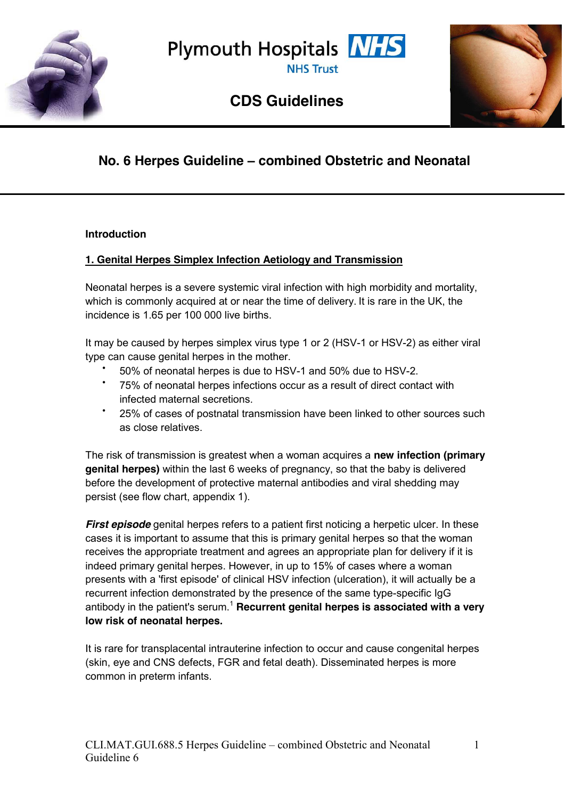



# **CDS Guidelines**



# **No. 6 Herpes Guideline – combined Obstetric and Neonatal**

#### **Introduction**

#### **1. Genital Herpes Simplex Infection Aetiology and Transmission**

Neonatal herpes is a severe systemic viral infection with high morbidity and mortality, which is commonly acquired at or near the time of delivery. It is rare in the UK, the incidence is 1.65 per 100 000 live births.

It may be caused by herpes simplex virus type 1 or 2 (HSV-1 or HSV-2) as either viral type can cause genital herpes in the mother.

- 50% of neonatal herpes is due to HSV-1 and 50% due to HSV-2.
- <sup>x</sup> 75% of neonatal herpes infections occur as a result of direct contact with infected maternal secretions.
- <sup>x</sup> 25% of cases of postnatal transmission have been linked to other sources such as close relatives.

The risk of transmission is greatest when a woman acquires a **new infection (primary genital herpes)** within the last 6 weeks of pregnancy, so that the baby is delivered before the development of protective maternal antibodies and viral shedding may persist (see flow chart, appendix 1).

*First episode* genital herpes refers to a patient first noticing a herpetic ulcer. In these cases it is important to assume that this is primary genital herpes so that the woman receives the appropriate treatment and agrees an appropriate plan for delivery if it is indeed primary genital herpes. However, in up to 15% of cases where a woman presents with a 'first episode' of clinical HSV infection (ulceration), it will actually be a recurrent infection demonstrated by the presence of the same type-specific IgG antibody in the patient's serum.<sup>1</sup> Recurrent genital herpes is associated with a very **low risk of neonatal herpes.**

It is rare for transplacental intrauterine infection to occur and cause congenital herpes (skin, eye and CNS defects, FGR and fetal death). Disseminated herpes is more common in preterm infants.

1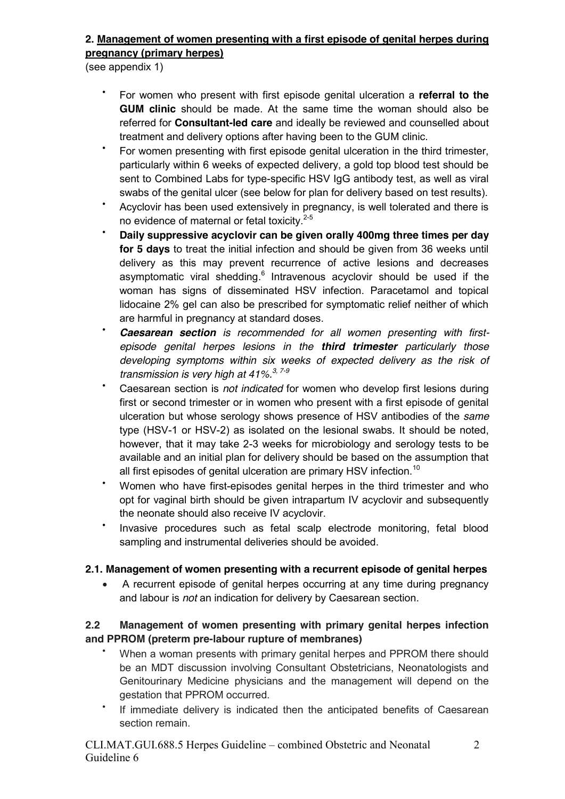## **2. Management of women presenting with a first episode of genital herpes during pregnancy (primary herpes)**

(see appendix 1)

- \* For women who present with first episode genital ulceration a **referral to the GUM clinic** should be made. At the same time the woman should also be referred for **Consultant-led care** and ideally be reviewed and counselled about treatment and delivery options after having been to the GUM clinic.
- For women presenting with first episode genital ulceration in the third trimester, particularly within 6 weeks of expected delivery, a gold top blood test should be sent to Combined Labs for type-specific HSV IgG antibody test, as well as viral swabs of the genital ulcer (see below for plan for delivery based on test results).
- Acyclovir has been used extensively in pregnancy, is well tolerated and there is no evidence of maternal or fetal toxicity.<sup>2-5</sup>
- <sup>x</sup> **Daily suppressive acyclovir can be given orally 400mg three times per day for 5 days** to treat the initial infection and should be given from 36 weeks until delivery as this may prevent recurrence of active lesions and decreases asymptomatic viral shedding.<sup>6</sup> Intravenous acyclovir should be used if the woman has signs of disseminated HSV infection. Paracetamol and topical lidocaine 2% gel can also be prescribed for symptomatic relief neither of which are harmful in pregnancy at standard doses.
- **Caesarean section** is recommended for all women presenting with first*episode genital herpes lesions in the third trimester particularly those developing symptoms within six weeks of expected delivery as the risk of transmission is very high at 41%.3, 7-9*
- <sup>x</sup> Caesarean section is *not indicated* for women who develop first lesions during first or second trimester or in women who present with a first episode of genital ulceration but whose serology shows presence of HSV antibodies of the *same* type (HSV-1 or HSV-2) as isolated on the lesional swabs. It should be noted, however, that it may take 2-3 weeks for microbiology and serology tests to be available and an initial plan for delivery should be based on the assumption that all first episodes of genital ulceration are primary HSV infection.<sup>10</sup>
- Women who have first-episodes genital herpes in the third trimester and who opt for vaginal birth should be given intrapartum IV acyclovir and subsequently the neonate should also receive IV acyclovir.
- <sup>x</sup> Invasive procedures such as fetal scalp electrode monitoring, fetal blood sampling and instrumental deliveries should be avoided.

#### **2.1. Management of women presenting with a recurrent episode of genital herpes**

A recurrent episode of genital herpes occurring at any time during pregnancy and labour is *not* an indication for delivery by Caesarean section.

#### **2.2 Management of women presenting with primary genital herpes infection and PPROM (preterm pre-labour rupture of membranes)**

- When a woman presents with primary genital herpes and PPROM there should be an MDT discussion involving Consultant Obstetricians, Neonatologists and Genitourinary Medicine physicians and the management will depend on the gestation that PPROM occurred.
- If immediate delivery is indicated then the anticipated benefits of Caesarean section remain.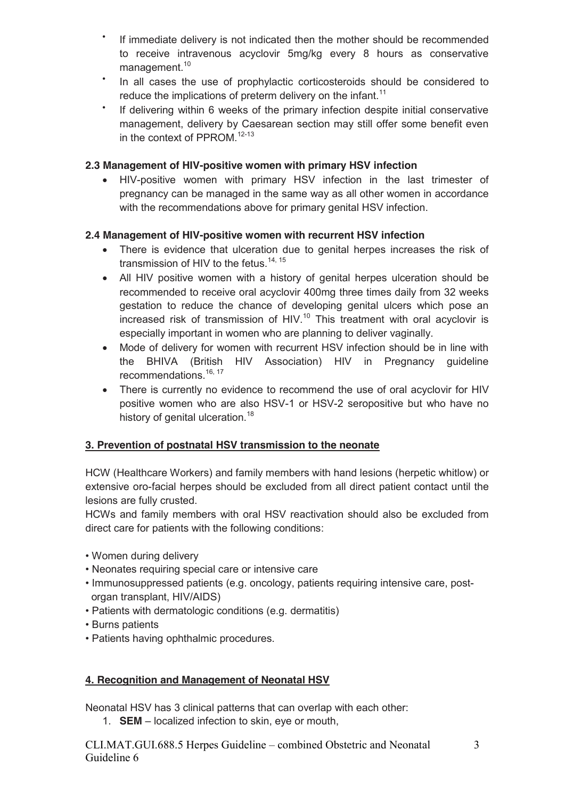- If immediate delivery is not indicated then the mother should be recommended to receive intravenous acyclovir 5mg/kg every 8 hours as conservative management.<sup>10</sup>
- In all cases the use of prophylactic corticosteroids should be considered to reduce the implications of preterm delivery on the infant.<sup>11</sup>
- If delivering within 6 weeks of the primary infection despite initial conservative management, delivery by Caesarean section may still offer some benefit even in the context of PPROM.<sup>12-13</sup>

#### **2.3 Management of HIV-positive women with primary HSV infection**

HIV-positive women with primary HSV infection in the last trimester of pregnancy can be managed in the same way as all other women in accordance with the recommendations above for primary genital HSV infection.

#### **2.4 Management of HIV-positive women with recurrent HSV infection**

- There is evidence that ulceration due to genital herpes increases the risk of transmission of HIV to the fetus.<sup>14, 15</sup>
- All HIV positive women with a history of genital herpes ulceration should be recommended to receive oral acyclovir 400mg three times daily from 32 weeks gestation to reduce the chance of developing genital ulcers which pose an increased risk of transmission of  $HIV.<sup>10</sup>$  This treatment with oral acyclovir is especially important in women who are planning to deliver vaginally.
- Mode of delivery for women with recurrent HSV infection should be in line with the BHIVA (British HIV Association) HIV in Pregnancy guideline recommendations.<sup>16, 17</sup>
- There is currently no evidence to recommend the use of oral acyclovir for HIV positive women who are also HSV-1 or HSV-2 seropositive but who have no history of genital ulceration.<sup>18</sup>

### **3. Prevention of postnatal HSV transmission to the neonate**

HCW (Healthcare Workers) and family members with hand lesions (herpetic whitlow) or extensive oro-facial herpes should be excluded from all direct patient contact until the lesions are fully crusted.

HCWs and family members with oral HSV reactivation should also be excluded from direct care for patients with the following conditions:

- Women during delivery
- Neonates requiring special care or intensive care
- Immunosuppressed patients (e.g. oncology, patients requiring intensive care, post organ transplant, HIV/AIDS)
- Patients with dermatologic conditions (e.g. dermatitis)
- Burns patients
- Patients having ophthalmic procedures.

#### **4. Recognition and Management of Neonatal HSV**

Neonatal HSV has 3 clinical patterns that can overlap with each other:

1. **SEM** – localized infection to skin, eye or mouth,

CLI.MAT.GUI.688.5 Herpes Guideline – combined Obstetric and Neonatal Guideline 6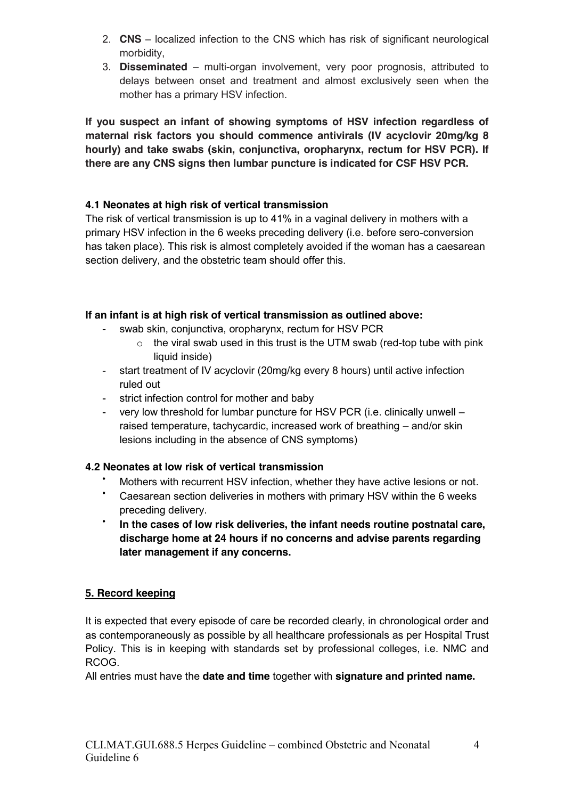- 2. **CNS** localized infection to the CNS which has risk of significant neurological morbidity,
- 3. **Disseminated** multi-organ involvement, very poor prognosis, attributed to delays between onset and treatment and almost exclusively seen when the mother has a primary HSV infection.

**If you suspect an infant of showing symptoms of HSV infection regardless of maternal risk factors you should commence antivirals (IV acyclovir 20mg/kg 8 hourly) and take swabs (skin, conjunctiva, oropharynx, rectum for HSV PCR). If there are any CNS signs then lumbar puncture is indicated for CSF HSV PCR.**

### **4.1 Neonates at high risk of vertical transmission**

The risk of vertical transmission is up to 41% in a vaginal delivery in mothers with a primary HSV infection in the 6 weeks preceding delivery (i.e. before sero-conversion has taken place). This risk is almost completely avoided if the woman has a caesarean section delivery, and the obstetric team should offer this.

#### **If an infant is at high risk of vertical transmission as outlined above:**

- swab skin, conjunctiva, oropharynx, rectum for HSV PCR
	- $\circ$  the viral swab used in this trust is the UTM swab (red-top tube with pink liquid inside)
- start treatment of IV acyclovir (20mg/kg every 8 hours) until active infection ruled out
- strict infection control for mother and baby
- very low threshold for lumbar puncture for HSV PCR (i.e. clinically unwell raised temperature, tachycardic, increased work of breathing – and/or skin lesions including in the absence of CNS symptoms)

### **4.2 Neonates at low risk of vertical transmission**

- Mothers with recurrent HSV infection, whether they have active lesions or not.
- Caesarean section deliveries in mothers with primary HSV within the 6 weeks preceding delivery.
- <sup>x</sup> **In the cases of low risk deliveries, the infant needs routine postnatal care, discharge home at 24 hours if no concerns and advise parents regarding later management if any concerns.**

### **5. Record keeping**

It is expected that every episode of care be recorded clearly, in chronological order and as contemporaneously as possible by all healthcare professionals as per Hospital Trust Policy. This is in keeping with standards set by professional colleges, i.e. NMC and RCOG.

All entries must have the **date and time** together with **signature and printed name.**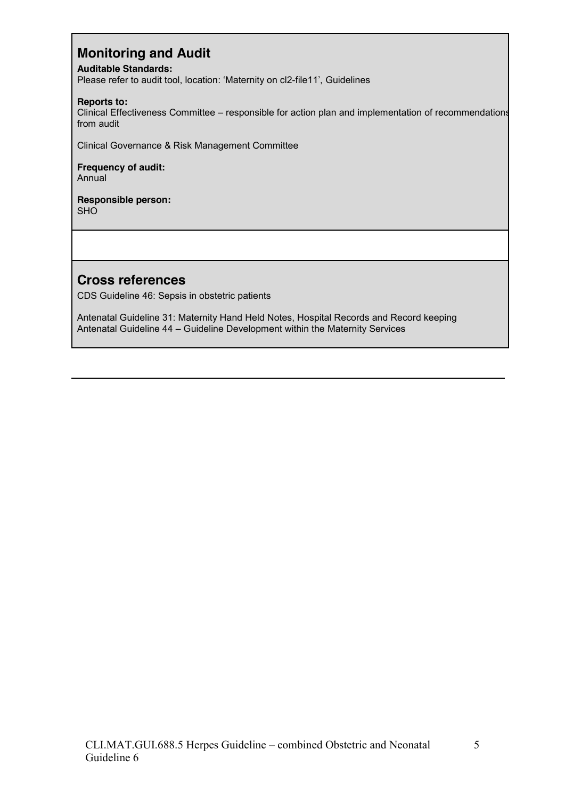# **Monitoring and Audit**

#### **Auditable Standards:**

Please refer to audit tool, location: 'Maternity on cl2-file11', Guidelines

#### **Reports to:**

Clinical Effectiveness Committee – responsible for action plan and implementation of recommendations from audit

Clinical Governance & Risk Management Committee

**Frequency of audit:** Annual

**Responsible person: SHO** 

## **Cross references**

CDS Guideline 46: Sepsis in obstetric patients

Antenatal Guideline 31: Maternity Hand Held Notes, Hospital Records and Record keeping Antenatal Guideline 44 – Guideline Development within the Maternity Services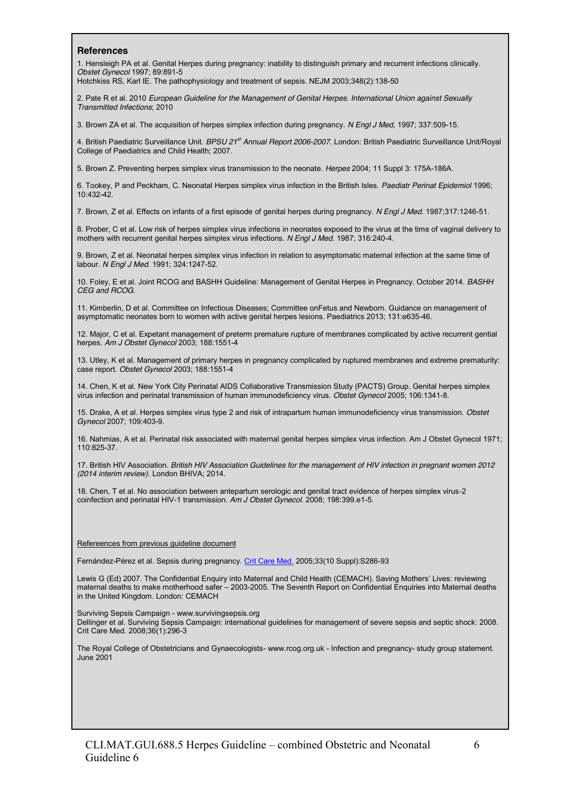#### **References**

1. Hensleigh PA et al. Genital Herpes during pregnancy: inability to distinguish primary and recurrent infections clinically. *Obstet Gynecol* 1997; 89:891-5

Hotchkiss RS, Karl IE. The pathophysiology and treatment of sepsis. NEJM 2003;348(2):138-50

2. Pate R et al. 2010 *European Guideline for the Management of Genital Herpes. International Union against Sexually Transmitted Infections*; 2010

3. Brown ZA et al. The acquisition of herpes simplex infection during pregnancy. *N Engl J Med*, 1997; 337:509-15.

4. British Paediatric Surveillance Unit. *BPSU 21st Annual Report 2006-2007*. London: British Paediatric Surveillance Unit/Royal College of Paediatrics and Child Health; 2007.

5. Brown Z. Preventing herpes simplex virus transmission to the neonate. *Herpes* 2004; 11 Suppl 3: 175A-186A.

6. Tookey, P and Peckham, C. Neonatal Herpes simplex virus infection in the British Isles. *Paediatr Perinat Epidemiol* 1996; 10:432-42.

7. Brown, Z et al. Effects on infants of a first episode of genital herpes during pregnancy. *N Engl J Med*. 1987;317:1246-51.

8. Prober, C et al. Low risk of herpes simplex virus infections in neonates exposed to the virus at the time of vaginal delivery to mothers with recurrent genital herpes simplex virus infections. *N Engl J Med*. 1987; 316:240-4.

9. Brown, Z et al. Neonatal herpes simplex virus infection in relation to asymptomatic maternal infection at the same time of labour. *N Engl J Med*. 1991; 324:1247-52.

10. Foley, E et al. Joint RCOG and BASHH Guideline: Management of Genital Herpes in Pregnancy. October 2014. *BASHH CEG and RCOG*.

11. Kimberlin, D et al. Committee on Infectious Diseases; Committee onFetus and Newborn. Guidance on management of asymptomatic neonates born to women with active genital herpes lesions. Paediatrics 2013; 131:e635-46.

12. Major, C et al. Expetant management of preterm premature rupture of membranes complicated by active recurrent gential herpes. *Am J Obstet Gynecol* 2003; 188:1551-4

13. Utley, K et al. Management of primary herpes in pregnancy complicated by ruptured membranes and extreme prematurity: case report. *Obstet Gynecol* 2003; 188:1551-4

14. Chen, K et al. New York City Perinatal AIDS Collaborative Transmission Study (PACTS) Group. Genital herpes simplex virus infection and perinatal transmission of human immunodeficiency virus. *Obstet Gynecol* 2005; 106:1341-8.

15. Drake, A et al. Herpes simplex virus type 2 and risk of intrapartum human immunodeficiency virus transmission. *Obstet Gynecol* 2007; 109:403-9.

16. Nahmias, A et al. Perinatal risk associated with maternal genital herpes simplex virus infection. Am J Obstet Gynecol 1971; 110:825-37.

17. British HIV Association. *British HIV Association Guidelines for the management of HIV infection in pregnant women 2012 (2014 interim review)*. London BHIVA; 2014.

18. Chen, T et al. No association between antepartum serologic and genital tract evidence of herpes simplex virus-2 coinfection and perinatal HIV-1 transmission. *Am J Obstet Gynecol*. 2008; 198:399.e1-5.

Refereences from previous guideline document

Fernández-Pérez et al. Sepsis during pregnancy. Crit Care Med. 2005;33(10 Suppl):S286-93

Lewis G (Ed) 2007. The Confidential Enquiry into Maternal and Child Health (CEMACH). Saving Mothers' Lives: reviewing maternal deaths to make motherhood safer – 2003-2005. The Seventh Report on Confidential Enquiries into Maternal deaths in the United Kingdom. London: CEMACH

Surviving Sepsis Campaign - www.survivingsepsis.org Dellinger et al. Surviving Sepsis Campaign: international guidelines for management of severe sepsis and septic shock: 2008. Crit Care Med. 2008;36(1):296-3

The Royal College of Obstetricians and Gynaecologists- www.rcog.org.uk - Infection and pregnancy- study group statement. June 2001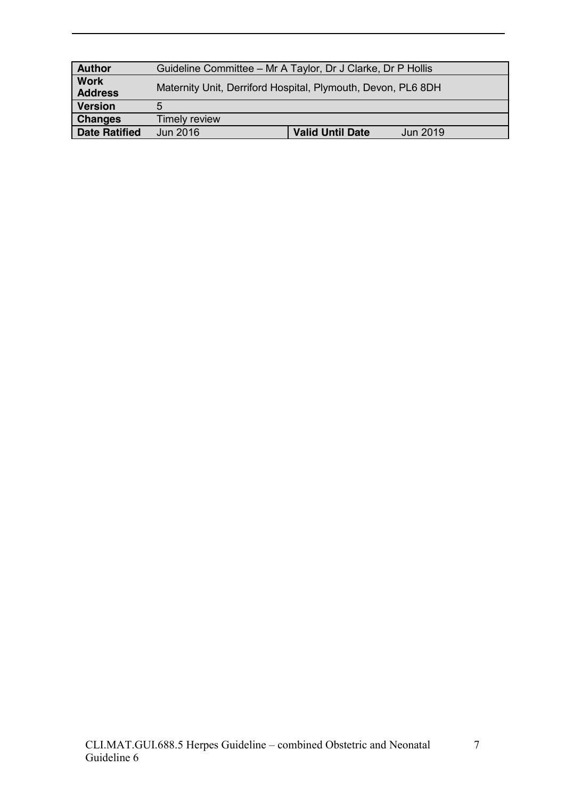| <b>Author</b>                 | Guideline Committee - Mr A Taylor, Dr J Clarke, Dr P Hollis  |                         |                 |
|-------------------------------|--------------------------------------------------------------|-------------------------|-----------------|
| <b>Work</b><br><b>Address</b> | Maternity Unit, Derriford Hospital, Plymouth, Devon, PL6 8DH |                         |                 |
| <b>Version</b>                | 5                                                            |                         |                 |
| <b>Changes</b>                | Timely review                                                |                         |                 |
| <b>Date Ratified</b>          | Jun 2016                                                     | <b>Valid Until Date</b> | <b>Jun 2019</b> |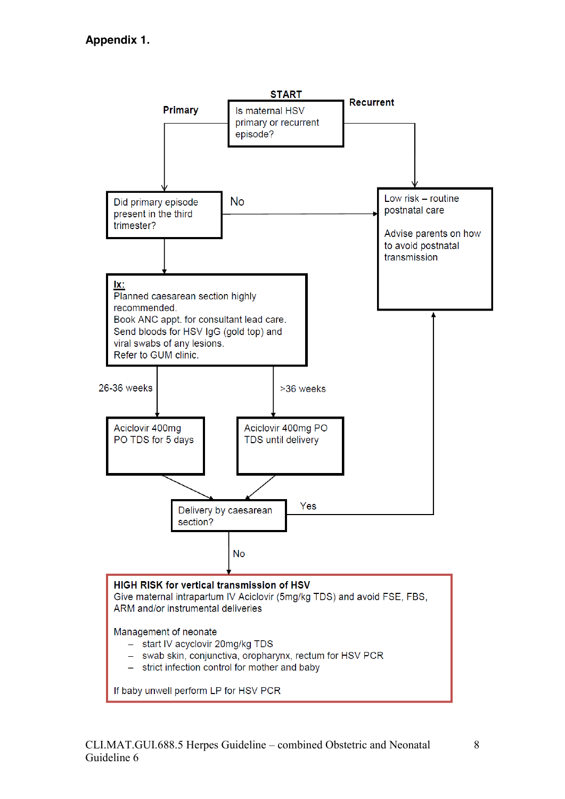## **Appendix 1.**

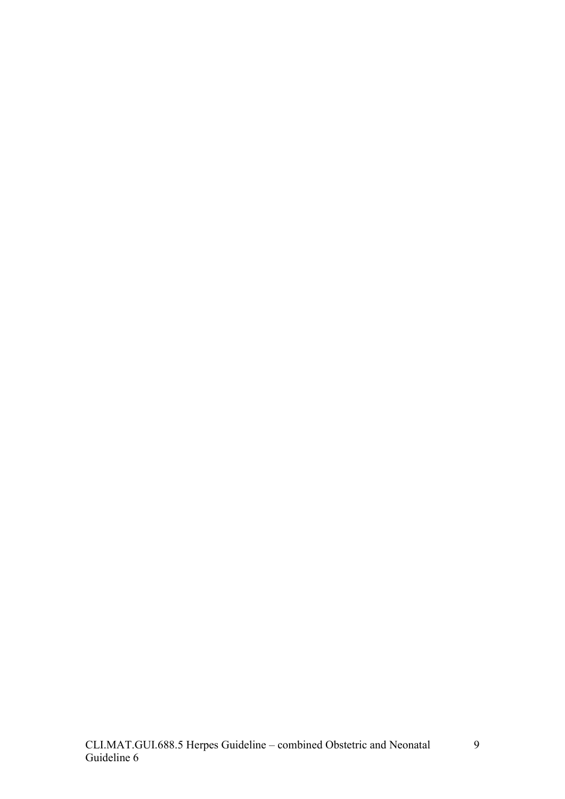9